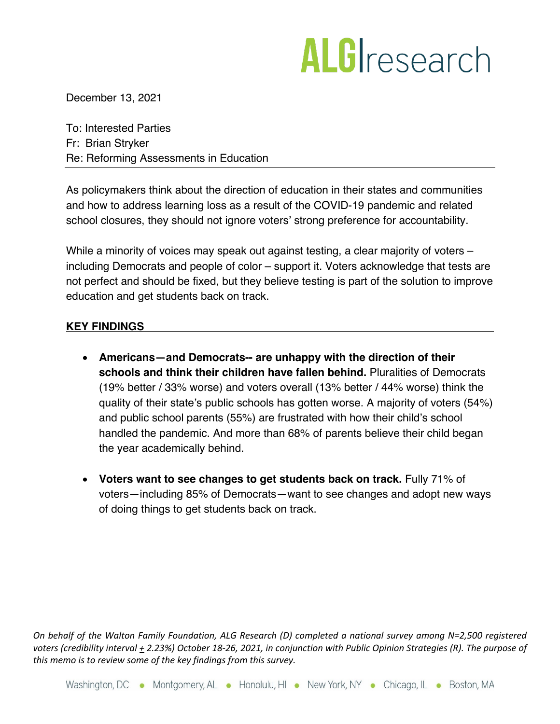## ALGIresearch

December 13, 2021

To: Interested Parties Fr: Brian Stryker Re: Reforming Assessments in Education

As policymakers think about the direction of education in their states and communities and how to address learning loss as a result of the COVID-19 pandemic and related school closures, they should not ignore voters' strong preference for accountability.

While a minority of voices may speak out against testing, a clear majority of voters – including Democrats and people of color – support it. Voters acknowledge that tests are not perfect and should be fixed, but they believe testing is part of the solution to improve education and get students back on track.

## **KEY FINDINGS**

- **Americans—and Democrats-- are unhappy with the direction of their schools and think their children have fallen behind.** Pluralities of Democrats (19% better / 33% worse) and voters overall (13% better / 44% worse) think the quality of their state's public schools has gotten worse. A majority of voters (54%) and public school parents (55%) are frustrated with how their child's school handled the pandemic. And more than 68% of parents believe their child began the year academically behind.
- **Voters want to see changes to get students back on track.** Fully 71% of voters—including 85% of Democrats—want to see changes and adopt new ways of doing things to get students back on track.

*On behalf of the Walton Family Foundation, ALG Research (D) completed a national survey among N=2,500 registered voters (credibility interval + 2.23%) October 18-26, 2021, in conjunction with Public Opinion Strategies (R). The purpose of this memo is to review some of the key findings from this survey.*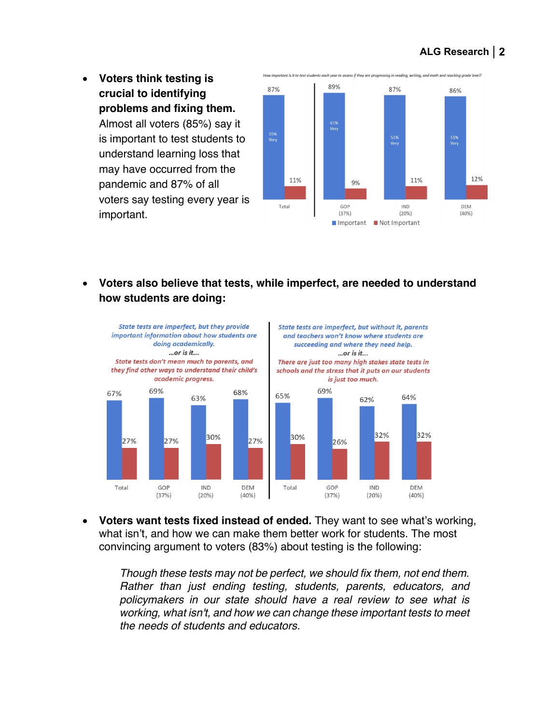- How important is it to test students each year to assess if they are progressing in reading, writing, and math and reaching grade level? • **Voters think testing is** 89% 87% 87% 86% **crucial to identifying problems and fixing them.**  Almost all voters (85%) say it 61%<br>Verv 55%<br>Very 51%<br>Very 51%<br>Very is important to test students to understand learning loss that may have occurred from the 12%  $11\%$  $11\%$ pandemic and 87% of all 9% voters say testing every year is Total GOP **IND** DEM important.  $(37%)$  $(20%)$  $(40%)$ Important Not Important
- **Voters also believe that tests, while imperfect, are needed to understand how students are doing:**



• **Voters want tests fixed instead of ended.** They want to see what's working, what isn't, and how we can make them better work for students. The most convincing argument to voters (83%) about testing is the following:

*Though these tests may not be perfect, we should fix them, not end them. Rather than just ending testing, students, parents, educators, and policymakers in our state should have a real review to see what is working, what isn't, and how we can change these important tests to meet the needs of students and educators.*